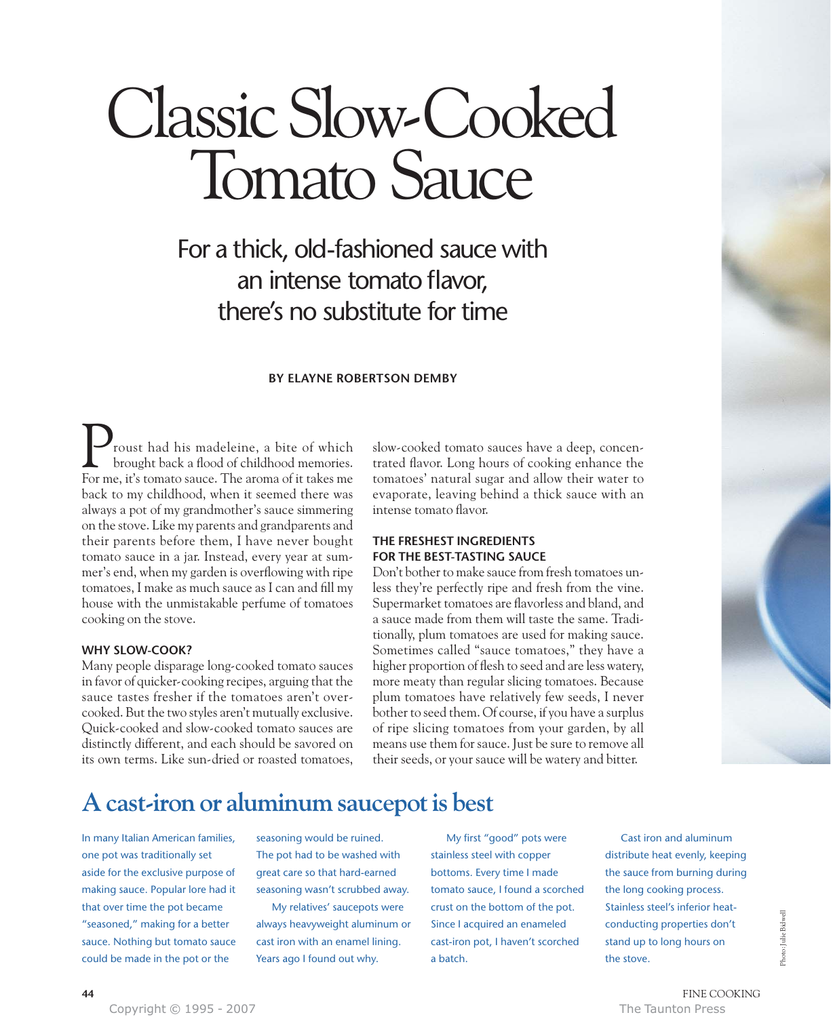# Classic Slow-Cooked Tomato Sauce

### For a thick, old-fashioned sauce with an intense tomato flavor, there's no substitute for time

### **BY ELAYNE ROBERTSON DEMBY**

roust had his madeleine, a bite of which brought back a flood of childhood memories. **P**roust had his madeleine, a bite of which<br>brought back a flood of childhood memories.<br>For me, it's tomato sauce. The aroma of it takes me back to my childhood, when it seemed there was always a pot of my grandmother's sauce simmering on the stove. Like my parents and grandparents and their parents before them, I have never bought tomato sauce in a jar. Instead, every year at summer's end, when my garden is overflowing with ripe tomatoes, I make as much sauce as I can and fill my house with the unmistakable perfume of tomatoes cooking on the stove.

#### **WHY SLOW-COOK?**

Many people disparage long-cooked tomato sauces in favor of quicker-cooking recipes, arguing that the sauce tastes fresher if the tomatoes aren't overcooked. But the two styles aren't mutually exclusive. Quick-cooked and slow-cooked tomato sauces are distinctly different, and each should be savored on its own terms. Like sun-dried or roasted tomatoes,

slow-cooked tomato sauces have a deep, concentrated flavor. Long hours of cooking enhance the tomatoes' natural sugar and allow their water to evaporate, leaving behind a thick sauce with an intense tomato flavor.

### **THE FRESHEST INGREDIENTS FOR THE BEST-TASTING SAUCE**

Don't bother to make sauce from fresh tomatoes unless they're perfectly ripe and fresh from the vine. Supermarket tomatoes are flavorless and bland, and a sauce made from them will taste the same. Traditionally, plum tomatoes are used for making sauce. Sometimes called "sauce tomatoes," they have a higher proportion of flesh to seed and are less watery, more meaty than regular slicing tomatoes. Because plum tomatoes have relatively few seeds, I never bother to seed them. Of course, if you have a surplus of ripe slicing tomatoes from your garden, by all means use them for sauce. Just be sure to remove all their seeds, or your sauce will be watery and bitter.



### **A cast-iron or aluminum saucepot is best**

In many Italian American families, one pot was traditionally set aside for the exclusive purpose of making sauce. Popular lore had it that over time the pot became "seasoned," making for a better sauce. Nothing but tomato sauce could be made in the pot or the

seasoning would be ruined. The pot had to be washed with great care so that hard-earned seasoning wasn't scrubbed away.

My relatives' saucepots were always heavyweight aluminum or cast iron with an enamel lining. Years ago I found out why.

My first "good" pots were stainless steel with copper bottoms. Every time I made tomato sauce, I found a scorched crust on the bottom of the pot. Since I acquired an enameled cast-iron pot, I haven't scorched a batch.

Cast iron and aluminum distribute heat evenly, keeping the sauce from burning during the long cooking process. Stainless steel's inferior heatconducting properties don't stand up to long hours on the stove.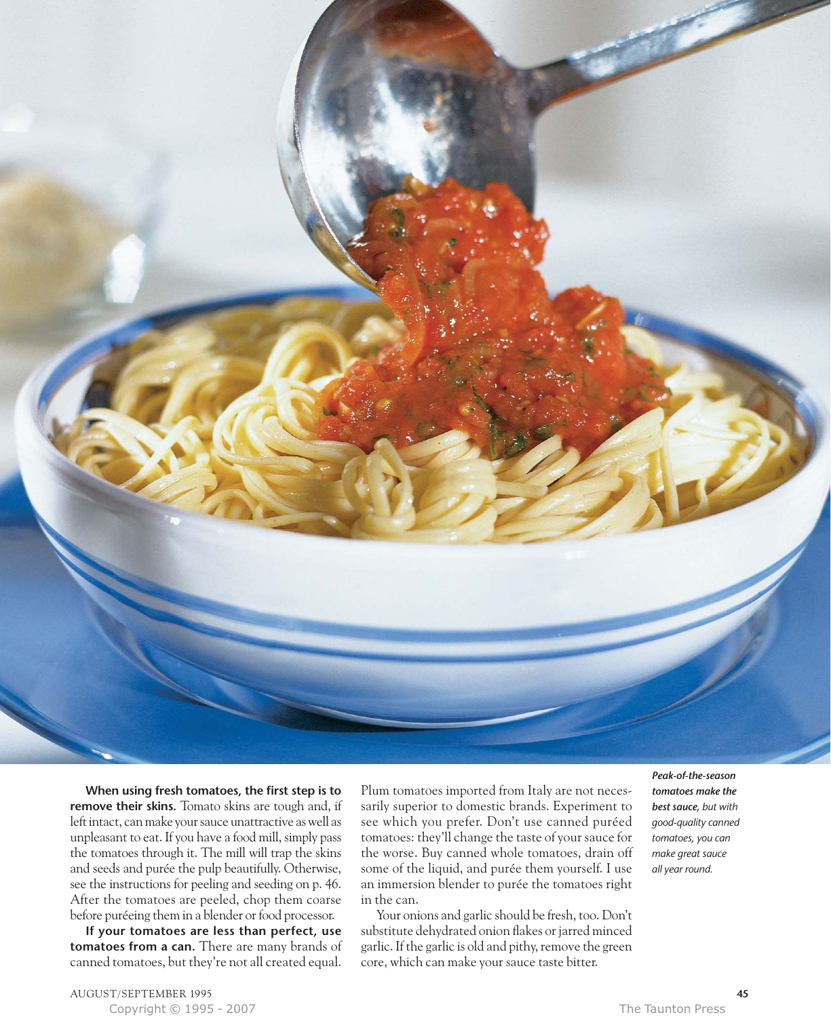

**When using fresh tomatoes, the first step is to remove their skins.** Tomato skins are tough and, if left intact, can make your sauce unattractive as well as unpleasant to eat. If you have a food mill, simply pass the tomatoes through it. The mill will trap the skins and seeds and purée the pulp beautifully. Otherwise, see the instructions for peeling and seeding on p. 46. After the tomatoes are peeled, chop them coarse before puréeing them in a blender or food processor.

**If your tomatoes are less than perfect, use tomatoes from a can.** There are many brands of canned tomatoes, but they're not all created equal. Plum tomatoes imported from Italy are not necessarily superior to domestic brands. Experiment to see which you prefer. Don't use canned puréed tomatoes: they'll change the taste of your sauce for the worse. Buy canned whole tomatoes, drain off some of the liquid, and purée them yourself. I use an immersion blender to purée the tomatoes right in the can.

Your onions and garlic should be fresh, too. Don't substitute dehydrated onion flakes or jarred minced garlic. If the garlic is old and pithy, remove the green core, which can make your sauce taste bitter.

*Peak-of-the-season tomatoes make the best sauce, but with good-quality canned tomatoes, you can make great sauce all year round.*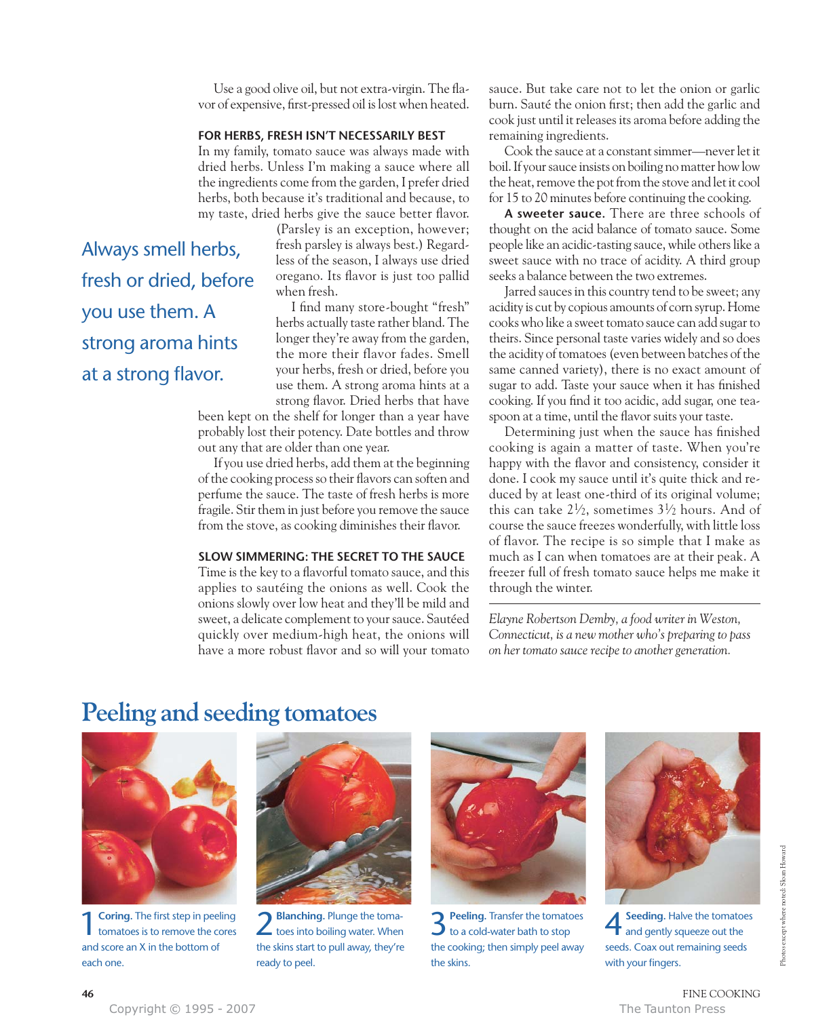Use a good olive oil, but not extra-virgin. The flavor of expensive, first-pressed oil is lost when heated.

### **FOR HERBS, FRESH ISN'T NECESSARILY BEST**

In my family, tomato sauce was always made with dried herbs. Unless I'm making a sauce where all the ingredients come from the garden, I prefer dried herbs, both because it's traditional and because, to my taste, dried herbs give the sauce better flavor.

(Parsley is an exception, however; fresh parsley is always best.) Regardless of the season, I always use dried oregano. Its flavor is just too pallid when fresh.

I find many store-bought "fresh" herbs actually taste rather bland. The longer they're away from the garden, the more their flavor fades. Smell your herbs, fresh or dried, before you use them. A strong aroma hints at a strong flavor. Dried herbs that have

been kept on the shelf for longer than a year have probably lost their potency. Date bottles and throw out any that are older than one year.

If you use dried herbs, add them at the beginning of the cooking process so their flavors can soften and perfume the sauce. The taste of fresh herbs is more fragile. Stir them in just before you remove the sauce from the stove, as cooking diminishes their flavor.

### **SLOW SIMMERING: THE SECRET TO THE SAUCE**

Time is the key to a flavorful tomato sauce, and this applies to sautéing the onions as well. Cook the onions slowly over low heat and they'll be mild and sweet, a delicate complement to your sauce. Sautéed quickly over medium-high heat, the onions will have a more robust flavor and so will your tomato sauce. But take care not to let the onion or garlic burn. Sauté the onion first; then add the garlic and cook just until it releases its aroma before adding the remaining ingredients.

Cook the sauce at a constant simmer—never let it boil. If your sauce insists on boiling no matter how low the heat, remove the pot from the stove and let it cool for 15 to 20 minutes before continuing the cooking.

**A sweeter sauce.** There are three schools of thought on the acid balance of tomato sauce. Some people like an acidic-tasting sauce, while others like a sweet sauce with no trace of acidity. A third group seeks a balance between the two extremes.

Jarred sauces in this country tend to be sweet; any acidity is cut by copious amounts of corn syrup. Home cooks who like a sweet tomato sauce can add sugar to theirs. Since personal taste varies widely and so does the acidity of tomatoes (even between batches of the same canned variety), there is no exact amount of sugar to add. Taste your sauce when it has finished cooking. If you find it too acidic, add sugar, one teaspoon at a time, until the flavor suits your taste.

Determining just when the sauce has finished cooking is again a matter of taste. When you're happy with the flavor and consistency, consider it done. I cook my sauce until it's quite thick and reduced by at least one-third of its original volume; this can take  $2\frac{1}{2}$ , sometimes  $3\frac{1}{2}$  hours. And of course the sauce freezes wonderfully, with little loss of flavor. The recipe is so simple that I make as much as I can when tomatoes are at their peak. A freezer full of fresh tomato sauce helps me make it through the winter.

*Elayne Robertson Demby, a food writer in Weston, Connecticut, is a new mother who's preparing to pass on her tomato sauce recipe to another generation.*

### **Peeling and seeding tomatoes**



Always smell herbs,

fresh or dried, before

you use them. A

strong aroma hints

at a strong flavor.

**1** Coring. The first step in peeling tomatoes is to remove the cores and score an X in the bottom of each one.



2 **Blanching.** Plunge the toma-<br>toes into boiling water. When the skins start to pull away, they're ready to peel.



**3** Peeling. Transfer the tomatoes to a cold-water bath to stop the cooking; then simply peel away the skins.



### **46** FINE COOKING

seeds. Coax out remaining seeds

with your fingers.

Copyright © 1995 - 2007 The Taunton Press